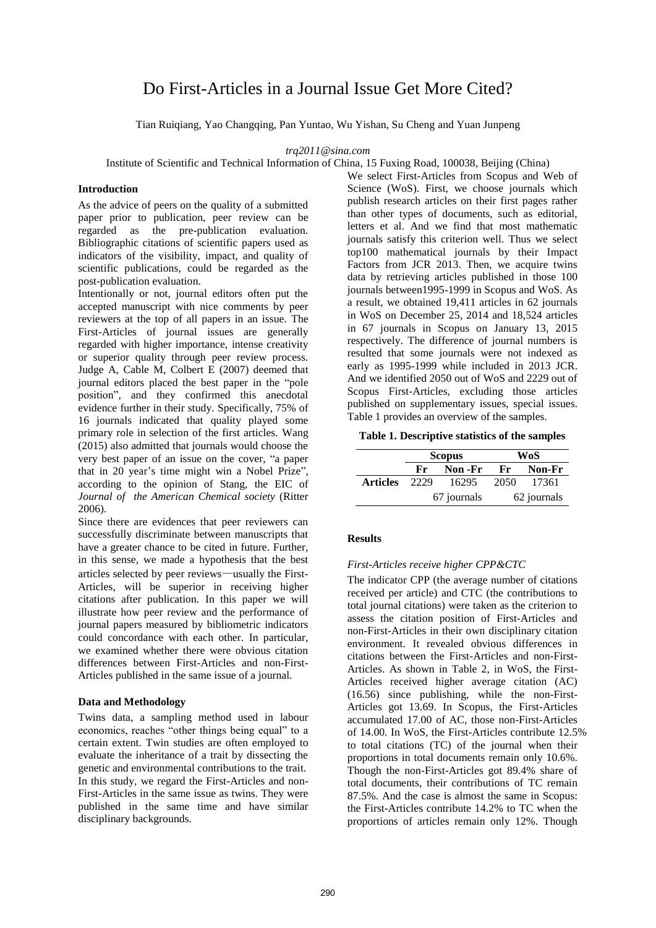# Do First-Articles in a Journal Issue Get More Cited?

Tian Ruiqiang, Yao Changqing, Pan Yuntao, Wu Yishan, Su Cheng and Yuan Junpeng

*trq2011@sina.com* 

Institute of Scientific and Technical Information of China, 15 Fuxing Road, 100038, Beijing (China)

#### **Introduction**

As the advice of peers on the quality of a submitted paper prior to publication, peer review can be regarded as the pre-publication evaluation. Bibliographic citations of scientific papers used as indicators of the visibility, impact, and quality of scientific publications, could be regarded as the post-publication evaluation.

Intentionally or not, journal editors often put the accepted manuscript with nice comments by peer reviewers at the top of all papers in an issue. The First-Articles of journal issues are generally regarded with higher importance, intense creativity or superior quality through peer review process. Judge A, Cable M, Colbert E (2007) deemed that journal editors placed the best paper in the "pole position", and they confirmed this anecdotal evidence further in their study. Specifically, 75% of 16 journals indicated that quality played some primary role in selection of the first articles. Wang (2015) also admitted that journals would choose the very best paper of an issue on the cover, "a paper that in 20 year's time might win a Nobel Prize", according to the opinion of Stang, the EIC of *Journal of the American Chemical society* (Ritter 2006).

Since there are evidences that peer reviewers can successfully discriminate between manuscripts that have a greater chance to be cited in future. Further, in this sense, we made a hypothesis that the best articles selected by peer reviews—usually the First-Articles, will be superior in receiving higher citations after publication. In this paper we will illustrate how peer review and the performance of journal papers measured by bibliometric indicators could concordance with each other. In particular, we examined whether there were obvious citation differences between First-Articles and non-First-Articles published in the same issue of a journal.

#### **Data and Methodology**

Twins data, a sampling method used in labour economics, reaches "other things being equal" to a certain extent. Twin studies are often employed to evaluate the inheritance of a trait by dissecting the genetic and environmental contributions to the trait. In this study, we regard the First-Articles and non-First-Articles in the same issue as twins. They were published in the same time and have similar disciplinary backgrounds.

We select First-Articles from Scopus and Web of Science (WoS). First, we choose journals which publish research articles on their first pages rather than other types of documents, such as editorial, letters et al. And we find that most mathematic journals satisfy this criterion well. Thus we select top100 mathematical journals by their Impact Factors from JCR 2013. Then, we acquire twins data by retrieving articles published in those 100 journals between1995-1999 in Scopus and WoS. As a result, we obtained 19,411 articles in 62 journals in WoS on December 25, 2014 and 18,524 articles in 67 journals in Scopus on January 13, 2015 respectively. The difference of journal numbers is resulted that some journals were not indexed as early as 1995-1999 while included in 2013 JCR. And we identified 2050 out of WoS and 2229 out of Scopus First-Articles, excluding those articles published on supplementary issues, special issues. Table 1 provides an overview of the samples.

**Table 1. Descriptive statistics of the samples** 

|                 | <b>Scopus</b> |         | WoS         |        |  |
|-----------------|---------------|---------|-------------|--------|--|
|                 | Fr.           | Non -Fr | $_{\rm Fr}$ | Non-Fr |  |
| <b>Articles</b> | 2229          | 16295   | 2050        | 17361  |  |
|                 | 67 journals   |         | 62 journals |        |  |

## **Results**

# *First-Articles receive higher CPP&CTC*

The indicator CPP (the average number of citations received per article) and CTC (the contributions to total journal citations) were taken as the criterion to assess the citation position of First-Articles and non-First-Articles in their own disciplinary citation environment. It revealed obvious differences in citations between the First-Articles and non-First-Articles. As shown in Table 2, in WoS, the First-Articles received higher average citation (AC) (16.56) since publishing, while the non-First-Articles got 13.69. In Scopus, the First-Articles accumulated 17.00 of AC, those non-First-Articles of 14.00. In WoS, the First-Articles contribute 12.5% to total citations (TC) of the journal when their proportions in total documents remain only 10.6%. Though the non-First-Articles got 89.4% share of total documents, their contributions of TC remain 87.5%. And the case is almost the same in Scopus: the First-Articles contribute 14.2% to TC when the proportions of articles remain only 12%. Though